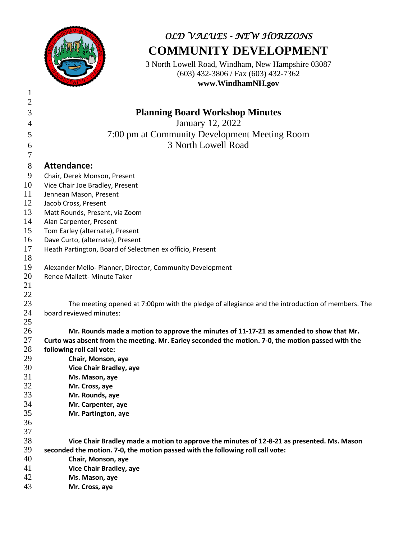

## *OLD VALUES - NEW HORIZONS* **COMMUNITY DEVELOPMENT**

3 North Lowell Road, Windham, New Hampshire 03087 (603) 432-3806 / Fax (603) 432-7362 **www.WindhamNH.gov**

| $\overline{c}$ |                                                                                                    |
|----------------|----------------------------------------------------------------------------------------------------|
| 3              | <b>Planning Board Workshop Minutes</b>                                                             |
| 4              | January 12, 2022                                                                                   |
| 5              | 7:00 pm at Community Development Meeting Room                                                      |
| 6              | 3 North Lowell Road                                                                                |
| 7              |                                                                                                    |
| 8              | <b>Attendance:</b>                                                                                 |
| 9              | Chair, Derek Monson, Present                                                                       |
| 10             | Vice Chair Joe Bradley, Present                                                                    |
| 11             | Jennean Mason, Present                                                                             |
| 12             | Jacob Cross, Present                                                                               |
| 13             | Matt Rounds, Present, via Zoom                                                                     |
| 14             | Alan Carpenter, Present                                                                            |
| 15             | Tom Earley (alternate), Present                                                                    |
| 16             | Dave Curto, (alternate), Present                                                                   |
| 17             | Heath Partington, Board of Selectmen ex officio, Present                                           |
| 18             |                                                                                                    |
| 19             | Alexander Mello- Planner, Director, Community Development                                          |
| 20             | Renee Mallett- Minute Taker                                                                        |
| 21             |                                                                                                    |
| 22             |                                                                                                    |
| 23             | The meeting opened at 7:00pm with the pledge of allegiance and the introduction of members. The    |
| 24             | board reviewed minutes:                                                                            |
| 25             |                                                                                                    |
| 26             | Mr. Rounds made a motion to approve the minutes of 11-17-21 as amended to show that Mr.            |
| 27             | Curto was absent from the meeting. Mr. Earley seconded the motion. 7-0, the motion passed with the |
| 28             | following roll call vote:                                                                          |
| 29             | Chair, Monson, aye                                                                                 |
| 30<br>31       | Vice Chair Bradley, aye                                                                            |
| 32             | Ms. Mason, aye<br>Mr. Cross, aye                                                                   |
| 33             | Mr. Rounds, aye                                                                                    |
| 34             | Mr. Carpenter, aye                                                                                 |
| 35             | Mr. Partington, aye                                                                                |
| 36             |                                                                                                    |
| 37             |                                                                                                    |
| 38             | Vice Chair Bradley made a motion to approve the minutes of 12-8-21 as presented. Ms. Mason         |
| 39             | seconded the motion. 7-0, the motion passed with the following roll call vote:                     |
| 40             | Chair, Monson, aye                                                                                 |
| 41             | <b>Vice Chair Bradley, aye</b>                                                                     |
| 42             | Ms. Mason, aye                                                                                     |
| 43             | Mr. Cross, aye                                                                                     |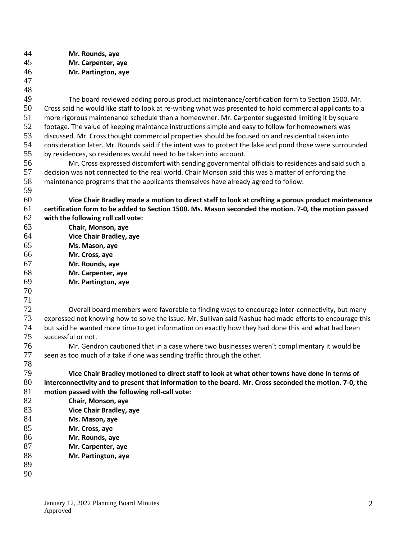**Mr. Rounds, aye Mr. Carpenter, aye Mr. Partington, aye**

 .

 The board reviewed adding porous product maintenance/certification form to Section 1500. Mr. Cross said he would like staff to look at re-writing what was presented to hold commercial applicants to a more rigorous maintenance schedule than a homeowner. Mr. Carpenter suggested limiting it by square footage. The value of keeping maintance instructions simple and easy to follow for homeowners was discussed. Mr. Cross thought commercial properties should be focused on and residential taken into consideration later. Mr. Rounds said if the intent was to protect the lake and pond those were surrounded by residences, so residences would need to be taken into account.

 Mr. Cross expressed discomfort with sending governmental officials to residences and said such a decision was not connected to the real world. Chair Monson said this was a matter of enforcing the maintenance programs that the applicants themselves have already agreed to follow. 

 **Vice Chair Bradley made a motion to direct staff to look at crafting a porous product maintenance certification form to be added to Section 1500. Ms. Mason seconded the motion. 7-0, the motion passed with the following roll call vote:**

- **Chair, Monson, aye Vice Chair Bradley, aye**
- **Ms. Mason, aye**
- **Mr. Cross, aye**
- **Mr. Rounds, aye**
- **Mr. Carpenter, aye**
- **Mr. Partington, aye**
- 
- 72 Overall board members were favorable to finding ways to encourage inter-connectivity, but many expressed not knowing how to solve the issue. Mr. Sullivan said Nashua had made efforts to encourage this but said he wanted more time to get information on exactly how they had done this and what had been successful or not.
- Mr. Gendron cautioned that in a case where two businesses weren't complimentary it would be 77 seen as too much of a take if one was sending traffic through the other.
- **Vice Chair Bradley motioned to direct staff to look at what other towns have done in terms of interconnectivity and to present that information to the board. Mr. Cross seconded the motion. 7-0, the motion passed with the following roll-call vote:**
- **Chair, Monson, aye**
- **Vice Chair Bradley, aye**
- **Ms. Mason, aye**
- **Mr. Cross, aye**
- **Mr. Rounds, aye**
- **Mr. Carpenter, aye**
- **Mr. Partington, aye**
- 
-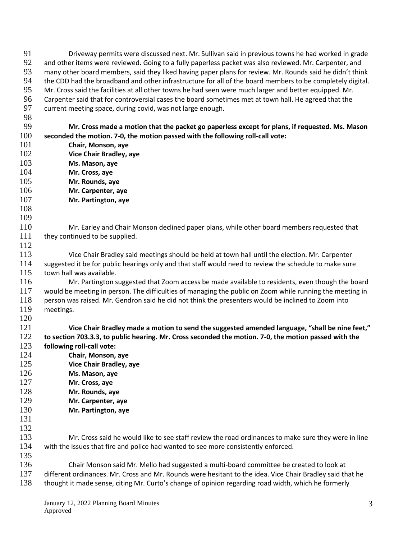| 91         | Driveway permits were discussed next. Mr. Sullivan said in previous towns he had worked in grade          |
|------------|-----------------------------------------------------------------------------------------------------------|
| 92         | and other items were reviewed. Going to a fully paperless packet was also reviewed. Mr. Carpenter, and    |
| 93         | many other board members, said they liked having paper plans for review. Mr. Rounds said he didn't think  |
| 94         | the CDD had the broadband and other infrastructure for all of the board members to be completely digital. |
| 95         | Mr. Cross said the facilities at all other towns he had seen were much larger and better equipped. Mr.    |
| 96         | Carpenter said that for controversial cases the board sometimes met at town hall. He agreed that the      |
| 97         | current meeting space, during covid, was not large enough.                                                |
| 98         |                                                                                                           |
| 99         | Mr. Cross made a motion that the packet go paperless except for plans, if requested. Ms. Mason            |
| 100        | seconded the motion. 7-0, the motion passed with the following roll-call vote:                            |
| 101        | Chair, Monson, aye                                                                                        |
| 102        | Vice Chair Bradley, aye                                                                                   |
| 103        | Ms. Mason, aye                                                                                            |
| 104        | Mr. Cross, aye                                                                                            |
| 105        | Mr. Rounds, aye                                                                                           |
| 106        | Mr. Carpenter, aye                                                                                        |
| 107        | Mr. Partington, aye                                                                                       |
| 108        |                                                                                                           |
| 109        |                                                                                                           |
| 110        | Mr. Earley and Chair Monson declined paper plans, while other board members requested that                |
| 111        | they continued to be supplied.                                                                            |
| 112        |                                                                                                           |
| 113        | Vice Chair Bradley said meetings should be held at town hall until the election. Mr. Carpenter            |
| 114        | suggested it be for public hearings only and that staff would need to review the schedule to make sure    |
| 115        | town hall was available.                                                                                  |
| 116        | Mr. Partington suggested that Zoom access be made available to residents, even though the board           |
| 117        | would be meeting in person. The difficulties of managing the public on Zoom while running the meeting in  |
| 118        | person was raised. Mr. Gendron said he did not think the presenters would be inclined to Zoom into        |
| 119        |                                                                                                           |
| 120        | meetings.                                                                                                 |
| 121        | Vice Chair Bradley made a motion to send the suggested amended language, "shall be nine feet,"            |
| 122        | to section 703.3.3, to public hearing. Mr. Cross seconded the motion. 7-0, the motion passed with the     |
| 123        | following roll-call vote:                                                                                 |
| 124        | Chair, Monson, aye                                                                                        |
| 125        | Vice Chair Bradley, aye                                                                                   |
| 126        |                                                                                                           |
| 127        | Ms. Mason, aye<br>Mr. Cross, aye                                                                          |
| 128        |                                                                                                           |
| 129        | Mr. Rounds, aye                                                                                           |
| 130        | Mr. Carpenter, aye                                                                                        |
| 131        | Mr. Partington, aye                                                                                       |
| 132        |                                                                                                           |
|            |                                                                                                           |
| 133        | Mr. Cross said he would like to see staff review the road ordinances to make sure they were in line       |
| 134<br>135 | with the issues that fire and police had wanted to see more consistently enforced.                        |
| 136        |                                                                                                           |
| 137        | Chair Monson said Mr. Mello had suggested a multi-board committee be created to look at                   |
|            | different ordinances. Mr. Cross and Mr. Rounds were hesitant to the idea. Vice Chair Bradley said that he |
| 138        | thought it made sense, citing Mr. Curto's change of opinion regarding road width, which he formerly       |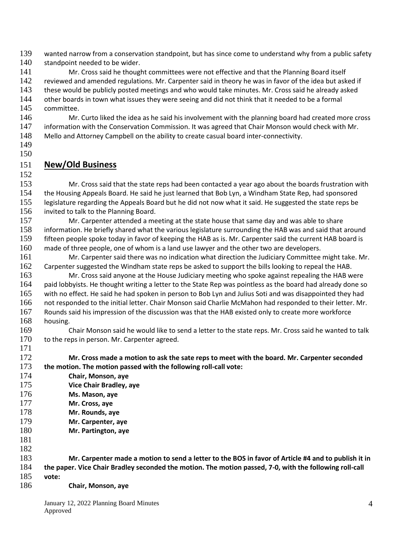wanted narrow from a conservation standpoint, but has since come to understand why from a public safety 140 standpoint needed to be wider.

141 Mr. Cross said he thought committees were not effective and that the Planning Board itself reviewed and amended regulations. Mr. Carpenter said in theory he was in favor of the idea but asked if these would be publicly posted meetings and who would take minutes. Mr. Cross said he already asked 144 other boards in town what issues they were seeing and did not think that it needed to be a formal committee.

 Mr. Curto liked the idea as he said his involvement with the planning board had created more cross 147 information with the Conservation Commission. It was agreed that Chair Monson would check with Mr. Mello and Attorney Campbell on the ability to create casual board inter-connectivity.

 

## **New/Old Business**

 Mr. Cross said that the state reps had been contacted a year ago about the boards frustration with the Housing Appeals Board. He said he just learned that Bob Lyn, a Windham State Rep, had sponsored legislature regarding the Appeals Board but he did not now what it said. He suggested the state reps be 156 invited to talk to the Planning Board.

 Mr. Carpenter attended a meeting at the state house that same day and was able to share information. He briefly shared what the various legislature surrounding the HAB was and said that around fifteen people spoke today in favor of keeping the HAB as is. Mr. Carpenter said the current HAB board is made of three people, one of whom is a land use lawyer and the other two are developers.

 Mr. Carpenter said there was no indication what direction the Judiciary Committee might take. Mr. Carpenter suggested the Windham state reps be asked to support the bills looking to repeal the HAB.

 Mr. Cross said anyone at the House Judiciary meeting who spoke against repealing the HAB were 164 paid lobbyists. He thought writing a letter to the State Rep was pointless as the board had already done so with no effect. He said he had spoken in person to Bob Lyn and Julius Soti and was disappointed they had not responded to the initial letter. Chair Monson said Charlie McMahon had responded to their letter. Mr. Rounds said his impression of the discussion was that the HAB existed only to create more workforce housing.

 Chair Monson said he would like to send a letter to the state reps. Mr. Cross said he wanted to talk 170 to the reps in person. Mr. Carpenter agreed.

 **Mr. Cross made a motion to ask the sate reps to meet with the board. Mr. Carpenter seconded the motion. The motion passed with the following roll-call vote: Chair, Monson, aye**

- **Vice Chair Bradley, aye Ms. Mason, aye Mr. Cross, aye Mr. Rounds, aye Mr. Carpenter, aye**
- **Mr. Partington, aye**

 

 **Mr. Carpenter made a motion to send a letter to the BOS in favor of Article #4 and to publish it in the paper. Vice Chair Bradley seconded the motion. The motion passed, 7-0, with the following roll-call vote: Chair, Monson, aye**